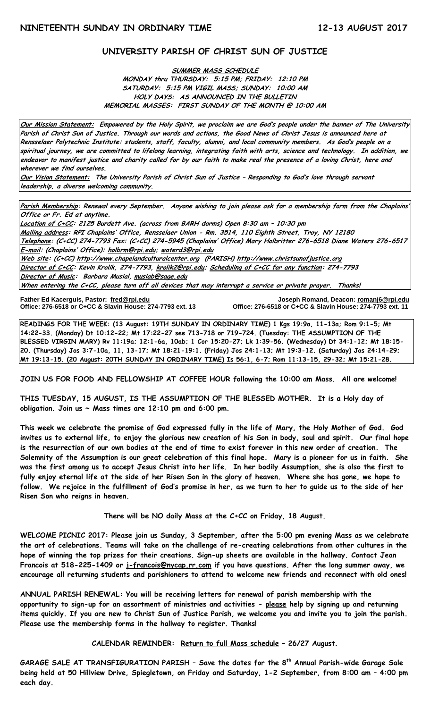## **UNIVERSITY PARISH OF CHRIST SUN OF JUSTICE**

**SUMMER MASS SCHEDULE**

**MONDAY thru THURSDAY: 5:15 PM; FRIDAY: 12:10 PM SATURDAY: 5:15 PM VIGIL MASS; SUNDAY: 10:00 AM HOLY DAYS: AS ANNOUNCED IN THE BULLETIN MEMORIAL MASSES: FIRST SUNDAY OF THE MONTH @ 10:00 AM**

**Our Mission Statement: Empowered by the Holy Spirit, we proclaim we are God's people under the banner of The University Parish of Christ Sun of Justice. Through our words and actions, the Good News of Christ Jesus is announced here at Rensselaer Polytechnic Institute: students, staff, faculty, alumni, and local community members. As God's people on a spiritual journey, we are committed to lifelong learning, integrating faith with arts, science and technology. In addition, we endeavor to manifest justice and charity called for by our faith to make real the presence of a loving Christ, here and wherever we find ourselves.**

**Our Vision Statement: The University Parish of Christ Sun of Justice – Responding to God's love through servant leadership, a diverse welcoming community.**

**Parish Membership: Renewal every September. Anyone wishing to join please ask for a membership form from the Chaplains' Office or Fr. Ed at anytime.**

**Location of C+CC: 2125 Burdett Ave. (across from BARH dorms) Open 8:30 am – 10:30 pm Mailing address: RPI Chaplains' Office, Rensselaer Union - Rm. 3514, 110 Eighth Street, Troy, NY 12180 Telephone: (C+CC) 274-7793 Fax: (C+CC) 274-5945 (Chaplains' Office) Mary Holbritter 276-6518 Diane Waters 276-6517 E-mail: (Chaplains' Office): [holbrm@rpi.edu;](mailto:holbrm@rpi.edu) waterd3@rpi.edu Web site: (C+CC[\) http://www.chapelandculturalcenter.org](http://www.chapelandculturalcenter.org/) (PARISH) http://www.christsunofjustice.org Director of C+CC: Kevin Krolik, 274-7793, krolik2@rpi.edu; Scheduling of C+CC for any function: 274-7793 Director of Music: Barbara Musial, [musiab@sage.edu](mailto:musiab@sage.edu) When entering the C+CC, please turn off all devices that may interrupt a service or private prayer. Thanks!** 

Father Ed Kacerguis, Pastor: fred@rpi.edu **Office: 276-6518 or C+CC & Slavin House: 274-7793 ext. 13**  **Father Ed Kacerguis, Pastor: [fred@rpi.edu](mailto:fred@rpi.edu) Joseph Romand, Deacon[: romanj6@rpi.edu](mailto:romanj6@rpi.edu)**

**READINGS FOR THE WEEK: (13 August: 19TH SUNDAY IN ORDINARY TIME) 1 Kgs 19:9a, 11-13a; Rom 9:1-5; Mt 14:22-33. (Monday) Dt 10:12-22; Mt 17:22-27 see 713-718 or 719-724. (Tuesday: THE ASSUMPTION OF THE BLESSED VIRGIN MARY) Rv 11:19a; 12:1-6a, 10ab; 1 Cor 15:20-27; Lk 1:39-56. (Wednesday) Dt 34:1-12; Mt 18:15- 20. (Thursday) Jos 3:7-10a, 11, 13-17; Mt 18:21-19:1. (Friday) Jos 24:1-13; Mt 19:3-12. (Saturday) Jos 24:14-29; Mt 19:13-15. (20 August: 20TH SUNDAY IN ORDINARY TIME) Is 56:1, 6-7; Rom 11:13-15, 29-32; Mt 15:21-28.**

**JOIN US FOR FOOD AND FELLOWSHIP AT COFFEE HOUR following the 10:00 am Mass. All are welcome!**

**THIS TUESDAY, 15 AUGUST, IS THE ASSUMPTION OF THE BLESSED MOTHER. It is a Holy day of obligation. Join us ~ Mass times are 12:10 pm and 6:00 pm.**

**This week we celebrate the promise of God expressed fully in the life of Mary, the Holy Mother of God. God invites us to external life, to enjoy the glorious new creation of his Son in body, soul and spirit. Our final hope is the resurrection of our own bodies at the end of time to exist forever in this new order of creation. The Solemnity of the Assumption is our great celebration of this final hope. Mary is a pioneer for us in faith. She was the first among us to accept Jesus Christ into her life. In her bodily Assumption, she is also the first to fully enjoy eternal life at the side of her Risen Son in the glory of heaven. Where she has gone, we hope to follow. We rejoice in the fulfillment of God's promise in her, as we turn to her to guide us to the side of her Risen Son who reigns in heaven.** 

**There will be NO daily Mass at the C+CC on Friday, 18 August.**

**WELCOME PICNIC 2017: Please join us Sunday, 3 September, after the 5:00 pm evening Mass as we celebrate the art of celebrations. Teams will take on the challenge of re-creating celebrations from other cultures in the hope of winning the top prizes for their creations. Sign-up sheets are available in the hallway. Contact Jean Francois at 518-225-1409 or [j-francois@nycap.rr.com](mailto:j-francois@nycap.rr.com) if you have questions. After the long summer away, we encourage all returning students and parishioners to attend to welcome new friends and reconnect with old ones!** 

**ANNUAL PARISH RENEWAL: You will be receiving letters for renewal of parish membership with the opportunity to sign-up for an assortment of ministries and activities - please help by signing up and returning items quickly. If you are new to Christ Sun of Justice Parish, we welcome you and invite you to join the parish. Please use the membership forms in the hallway to register. Thanks!**

**CALENDAR REMINDER: Return to full Mass schedule – 26/27 August.**

**GARAGE SALE AT TRANSFIGURATION PARISH – Save the dates for the 8th Annual Parish-wide Garage Sale being held at 50 Hillview Drive, Spiegletown, on Friday and Saturday, 1-2 September, from 8:00 am – 4:00 pm each day.**